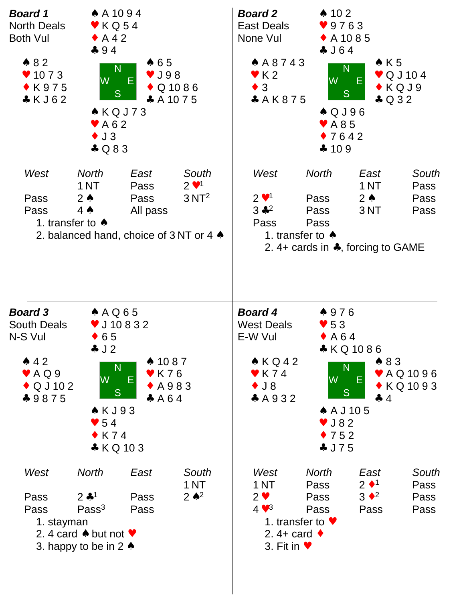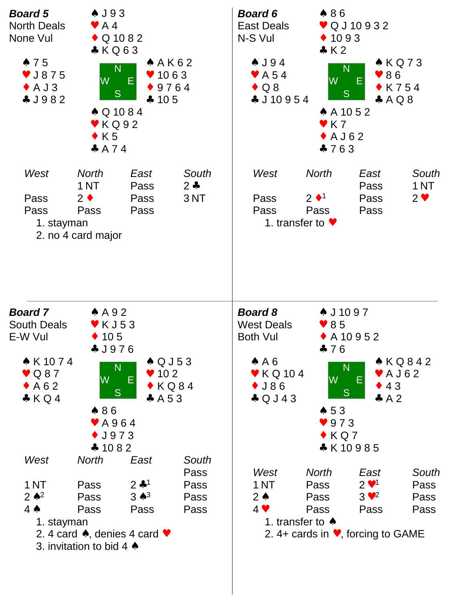| <b>Board 5</b><br><b>North Deals</b><br>None Vul<br>$\bullet$ 75<br>$\blacktriangledown$ J875<br>$\triangle$ A J 3<br>4J982 | $\clubsuit$ J93<br>$\blacktriangleright$ A4<br>$\bullet$ Q 10 8 2<br>$*KQ63$<br>A K62<br>N<br>$\bullet$ 1063<br>W<br>9764<br><sub>S</sub><br>$-105$<br>$\triangle$ Q 10 8 4<br>$\blacktriangleright$ KQ92<br>$\bullet$ K5<br>A 74                               |                                                                                         |                                       | $\bullet$ 86<br><b>Board 6</b><br>♥ Q J 10 9 3 2<br><b>East Deals</b><br>N-S Vul<br>$\triangle$ 1093<br>$\clubsuit$ K 2<br>$\triangle$ KQ73<br>$\clubsuit$ J 94<br>N<br>986<br>$\blacktriangleright$ A 54<br>W<br>Ε<br>$\triangle$ Q 8<br>$\bullet$ K754<br>S<br>$\clubsuit$ J 10 9 5 4<br>A Q 8<br>$A$ A 10 5 2<br>$\blacktriangledown$ K 7<br>$\bullet$ A J 6 2<br>$-763$ |                                                                                                                                                                                                                                                                                                                                                                                             |                                                                                         |                               |  |
|-----------------------------------------------------------------------------------------------------------------------------|-----------------------------------------------------------------------------------------------------------------------------------------------------------------------------------------------------------------------------------------------------------------|-----------------------------------------------------------------------------------------|---------------------------------------|-----------------------------------------------------------------------------------------------------------------------------------------------------------------------------------------------------------------------------------------------------------------------------------------------------------------------------------------------------------------------------|---------------------------------------------------------------------------------------------------------------------------------------------------------------------------------------------------------------------------------------------------------------------------------------------------------------------------------------------------------------------------------------------|-----------------------------------------------------------------------------------------|-------------------------------|--|
| West<br>Pass<br>Pass<br>1. stayman                                                                                          | <b>North</b><br>1 NT<br>$2 \bullet$<br>Pass<br>2. no 4 card major                                                                                                                                                                                               | East<br>Pass<br>Pass<br>Pass                                                            | South<br>$2 - 1$<br>3NT               | West<br>Pass<br>Pass                                                                                                                                                                                                                                                                                                                                                        | <b>North</b><br>$2 \cdot 1$<br>Pass<br>1. transfer to $\blacktriangledown$                                                                                                                                                                                                                                                                                                                  | East<br>Pass<br>Pass<br>Pass                                                            | South<br>1 NT<br>$2 \vee$     |  |
| <b>Board 7</b><br><b>South Deals</b><br>E-W Vul<br>$\triangledown$ Q 8 7<br>$\triangle$ A 6 2<br>KQ4                        | $A$ A 9 2<br>$\blacktriangledown$ K J 5 3<br>$\div$ 105<br>* J976<br>$\triangle$ K 10 7 4<br>$\triangle$ Q J 5 3<br>N<br>$\blacktriangledown$ 10 2<br><b>W</b><br>Ε<br>$\bullet$ KQ84<br>S.<br>A 5 3<br>$\bullet$ 86<br>♥ A 9 6 4<br>$\bullet$ J973<br>$* 1082$ |                                                                                         |                                       |                                                                                                                                                                                                                                                                                                                                                                             | <b>Board 8</b><br>$\clubsuit$ J 10 9 7<br><b>West Deals</b><br>$\bullet$ 85<br>Both Vul<br>$\triangle$ A 10 9 5 2<br>$-76$<br>$\triangle$ KQ842<br>AA6<br>N<br>$\blacktriangleright$ KQ 104<br>$\blacktriangleright$ A J 6 2<br>W<br>Ε<br>$\div$ 43<br>$\bullet$ J86<br><sub>S</sub><br>$\clubsuit$ Q J 4 3<br>$\clubsuit$ A 2<br>$\bullet 53$<br>$\bullet$ 973<br>$\bullet$ KQ7<br>*K10985 |                                                                                         |                               |  |
| West<br><b>1 NT</b><br>$2 \cdot \lambda^2$<br>$4 \spadesuit$<br>1. stayman                                                  | <b>North</b><br>Pass<br>Pass<br>Pass<br>3. invitation to bid 4 $\spadesuit$                                                                                                                                                                                     | East<br>$2 * 1$<br>$3 \star^3$<br>Pass<br>2. 4 card $\bullet$ , denies 4 card $\bullet$ | South<br>Pass<br>Pass<br>Pass<br>Pass | West<br>1 <sub>NT</sub><br>$2 \triangle$<br>$4 \vee$                                                                                                                                                                                                                                                                                                                        | <b>North</b><br>Pass<br>Pass<br>Pass<br>1. transfer to $\triangle$                                                                                                                                                                                                                                                                                                                          | East<br>$2 \cdot 1$<br>$3 \vee^2$<br>Pass<br>2. 4+ cards in $\bullet$ , forcing to GAME | South<br>Pass<br>Pass<br>Pass |  |